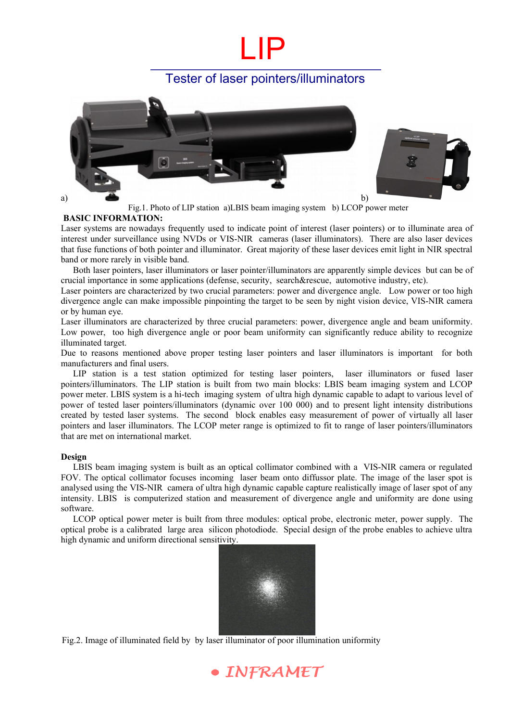# LIP

## Tester of laser pointers/illuminators



Fig.1. Photo of LIP station a)LBIS beam imaging system b) LCOP power meter

### **BASIC INFORMATION:**

Laser systems are nowadays frequently used to indicate point of interest (laser pointers) or to illuminate area of interest under surveillance using NVDs or VIS-NIR cameras (laser illuminators). There are also laser devices that fuse functions of both pointer and illuminator. Great majority of these laser devices emit light in NIR spectral band or more rarely in visible band.

Both laser pointers, laser illuminators or laser pointer/illuminators are apparently simple devices but can be of crucial importance in some applications (defense, security, search&rescue, automotive industry, etc).

Laser pointers are characterized by two crucial parameters: power and divergence angle. Low power or too high divergence angle can make impossible pinpointing the target to be seen by night vision device, VIS-NIR camera or by human eye.

Laser illuminators are characterized by three crucial parameters: power, divergence angle and beam uniformity. Low power, too high divergence angle or poor beam uniformity can significantly reduce ability to recognize illuminated target.

Due to reasons mentioned above proper testing laser pointers and laser illuminators is important for both manufacturers and final users.

LIP station is a test station optimized for testing laser pointers, laser illuminators or fused laser pointers/illuminators. The LIP station is built from two main blocks: LBIS beam imaging system and LCOP power meter. LBIS system is a hi-tech imaging system of ultra high dynamic capable to adapt to various level of power of tested laser pointers/illuminators (dynamic over 100 000) and to present light intensity distributions created by tested laser systems. The second block enables easy measurement of power of virtually all laser pointers and laser illuminators. The LCOP meter range is optimized to fit to range of laser pointers/illuminators that are met on international market.

#### **Design**

LBIS beam imaging system is built as an optical collimator combined with a VIS-NIR camera or regulated FOV. The optical collimator focuses incoming laser beam onto diffussor plate. The image of the laser spot is analysed using the VIS-NIR camera of ultra high dynamic capable capture realistically image of laser spot of any intensity. LBIS is computerized station and measurement of divergence angle and uniformity are done using software.

LCOP optical power meter is built from three modules: optical probe, electronic meter, power supply. The optical probe is a calibrated large area silicon photodiode. Special design of the probe enables to achieve ultra high dynamic and uniform directional sensitivity.



Fig.2. Image of illuminated field by by laser illuminator of poor illumination uniformity